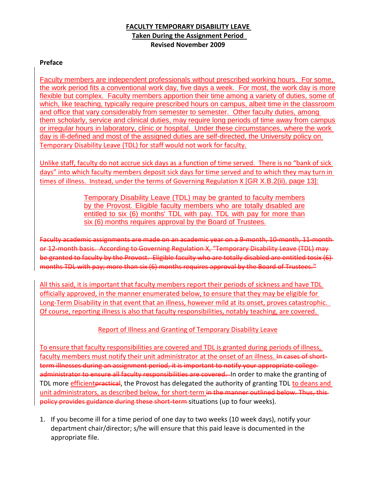## **FACULTY TEMPORARY DISABILITY LEAVE Taken During the Assignment Period Revised November 2009**

## **Preface**

Faculty members are independent professionals without prescribed working hours. For some, the work period fits a conventional work day, five days a week. For most, the work day is more flexible but complex. Faculty members apportion their time among a variety of duties, some of which, like teaching, typically require prescribed hours on campus, albeit time in the classroom and office that vary considerably from semester to semester. Other faculty duties, among them scholarly, service and clinical duties, may require long periods of time away from campus or irregular hours in laboratory, clinic or hospital. Under these circumstances, where the work day is ill-defined and most of the assigned duties are self-directed, the University policy on Temporary Disability Leave (TDL) for staff would not work for faculty.

Unlike staff, faculty do not accrue sick days as a function of time served. There is no "bank of sick days" into which faculty members deposit sick days for time served and to which they may turn in times of illness. Instead, under the terms of Governing Regulation X [GR X.B.2(ii), page 13]:

> Temporary Disability Leave (TDL) may be granted to faculty members by the Provost. Eligible faculty members who are totally disabled are entitled to six (6) months' TDL with pay. TDL with pay for more than six (6) months requires approval by the Board of Trustees.

Faculty academic assignments are made on an academic year on a 9-month, 10-month, 11-month or 12-month basis. According to Governing Regulation X, "Temporary Disability Leave (TDL) may be granted to faculty by the Provost. Eligible faculty who are totally disabled are entitled tosix (6) months TDL with pay; more than six (6) months requires approval by the Board of Trustees."

All this said, it is important that faculty members report their periods of sickness and have TDL officially approved, in the manner enumerated below, to ensure that they may be eligible for Long-Term Disability in that event that an illness, however mild at its onset, proves catastrophic. Of course, reporting illness is also that faculty responsibilities, notably teaching, are covered.

## Report of Illness and Granting of Temporary Disability Leave

To ensure that faculty responsibilities are covered and TDL is granted during periods of illness, faculty members must notify their unit administrator at the onset of an illness. In cases of shortterm illnesses during an assignment period, it is important to notify your appropriate collegeadministrator to ensure all faculty responsibilities are covered. In order to make the granting of TDL more efficient practical, the Provost has delegated the authority of granting TDL to deans and unit administrators, as described below, for short-term in the manner outlined below. Thus, this policy provides guidance during these short-term situations (up to four weeks).

1. If you become ill for a time period of one day to two weeks (10 week days), notify your department chair/director; s/he will ensure that this paid leave is documented in the appropriate file.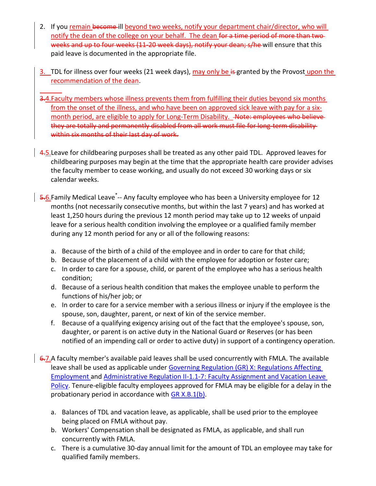- 2. If you remain become ill beyond two weeks, notify your department chair/director, who will notify the dean of the college on your behalf. The dean for a time period of more than twoweeks and up to four weeks (11-20 week days), notify your dean; s/he will ensure that this paid leave is documented in the appropriate file.
- 3. TDL for illness over four weeks (21 week days), may only be is granted by the Provost upon the recommendation of the dean.
- 3.4. Faculty members whose illness prevents them from fulfilling their duties beyond six months from the onset of the illness, and who have been on approved sick leave with pay for a sixmonth period, are eligible to apply for Long-Term Disability. Aote: employees who believe they are totally and permanently disabled from all work must file for long-term disability within six months of their last day of work.
- 4.5. Leave for childbearing purposes shall be treated as any other paid TDL. Approved leaves for childbearing purposes may begin at the time that the appropriate health care provider advises the faculty member to cease working, and usually do not exceed 30 working days or six calendar weeks.
	- <del>5.</del>6.Family Medical Leave<sup>\*</sup>-- Any faculty employee who has been a University employee for 12 months (not necessarily consecutive months, but within the last 7 years) and has worked at least 1,250 hours during the previous 12 month period may take up to 12 weeks of unpaid leave for a serious health condition involving the employee or a qualified family member during any 12 month period for any or all of the following reasons:
		- a. Because of the birth of a child of the employee and in order to care for that child;
		- b. Because of the placement of a child with the employee for adoption or foster care;
		- c. In order to care for a spouse, child, or parent of the employee who has a serious health condition;
		- d. Because of a serious health condition that makes the employee unable to perform the functions of his/her job; or
		- e. In order to care for a service member with a serious illness or injury if the employee is the spouse, son, daughter, parent, or next of kin of the service member.
		- f. Because of a qualifying exigency arising out of the fact that the employee's spouse, son, daughter, or parent is on active duty in the National Guard or Reserves (or has been notified of an impending call or order to active duty) in support of a contingency operation.
- $\overline{6.7}$ . A faculty member's available paid leaves shall be used concurrently with FMLA. The available leave shall be used as applicable under Governing Regulation (GR) X: Regulations Affecting [Employment a](http://www.uky.edu/Regs/files/gr/gr10.pdf)n[d Administrative Regulation II-1.1-7: Faculty Assignment and Vacation Leave](http://www.uky.edu/Regs/files/ar/ar038.pdf)  [Policy.](http://www.uky.edu/Regs/files/ar/ar038.pdf) Tenure-eligible faculty employees approved for FMLA may be eligible for a delay in the probationary period in accordance with [GR X.B.1\(b\).](http://www.uky.edu/Regs/files/gr/gr10.pdf)
	- a. Balances of TDL and vacation leave, as applicable, shall be used prior to the employee being placed on FMLA without pay.
	- b. Workers' Compensation shall be designated as FMLA, as applicable, and shall run concurrently with FMLA.
	- c. There is a cumulative 30-day annual limit for the amount of TDL an employee may take for qualified family members.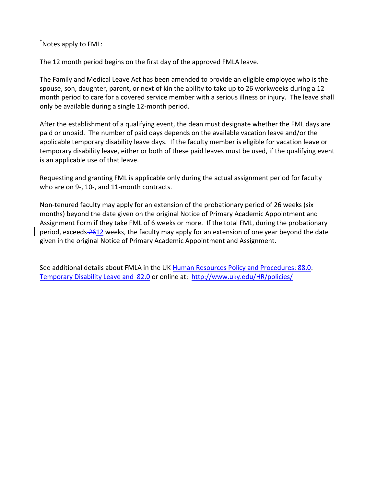\*Notes apply to FML:

The 12 month period begins on the first day of the approved FMLA leave.

The Family and Medical Leave Act has been amended to provide an eligible employee who is the spouse, son, daughter, parent, or next of kin the ability to take up to 26 workweeks during a 12 month period to care for a covered service member with a serious illness or injury. The leave shall only be available during a single 12-month period.

After the establishment of a qualifying event, the dean must designate whether the FML days are paid or unpaid. The number of paid days depends on the available vacation leave and/or the applicable temporary disability leave days. If the faculty member is eligible for vacation leave or temporary disability leave, either or both of these paid leaves must be used, if the qualifying event is an applicable use of that leave.

Requesting and granting FML is applicable only during the actual assignment period for faculty who are on 9-, 10-, and 11-month contracts.

Non-tenured faculty may apply for an extension of the probationary period of 26 weeks (six months) beyond the date given on the original Notice of Primary Academic Appointment and Assignment Form if they take FML of 6 weeks or more. If the total FML, during the probationary period, exceeds 2612 weeks, the faculty may apply for an extension of one year beyond the date given in the original Notice of Primary Academic Appointment and Assignment.

See additional details about FMLA in the UK [Human Resources Policy and Procedures: 88.0:](http://www.uky.edu/HR/policies/hrpp088.html) [Temporary Disability Leave and 82.0](http://www.uky.edu/HR/policies/hrpp082.html) or online at: <http://www.uky.edu/HR/policies/>